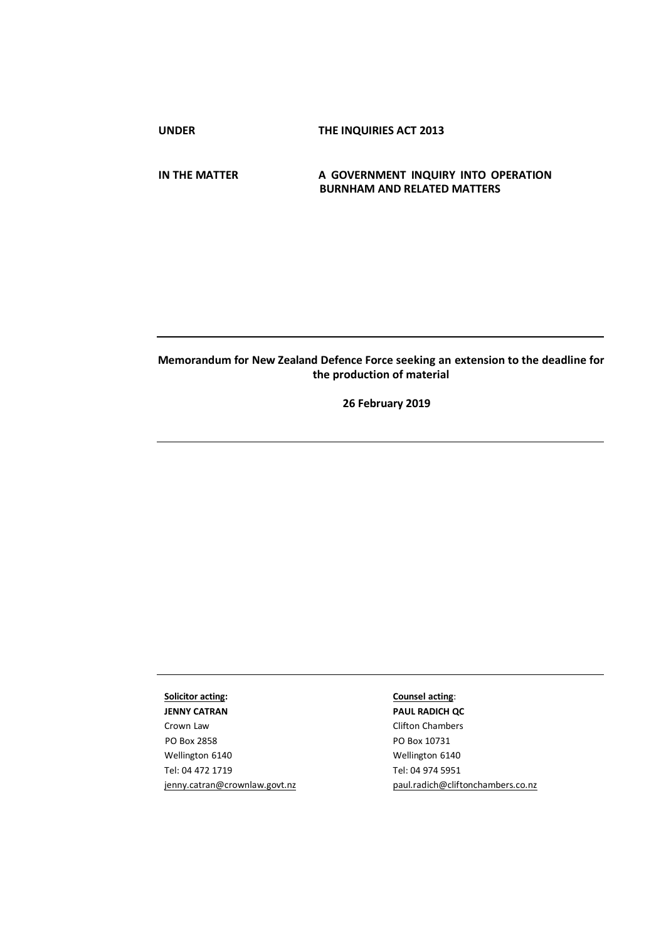**UNDER THE INQUIRIES ACT 2013**

**IN THE MATTER A GOVERNMENT INQUIRY INTO OPERATION BURNHAM AND RELATED MATTERS**

# **Memorandum for New Zealand Defence Force seeking an extension to the deadline for the production of material**

**26 February 2019**

**Solicitor acting: JENNY CATRAN** 

Crown Law PO Box 2858 Wellington 6140 Tel: 04 472 1719 [jenny.catran@crownlaw.govt.nz](mailto:jenny.catran@crownlaw.govt.nz)

### **Counsel acting**:

**PAUL RADICH QC**  Clifton Chambers PO Box 10731 Wellington 6140 Tel: 04 974 5951 [paul.radich@cliftonchambers.co.nz](mailto:paul.radich@cliftonchambers.co.nz)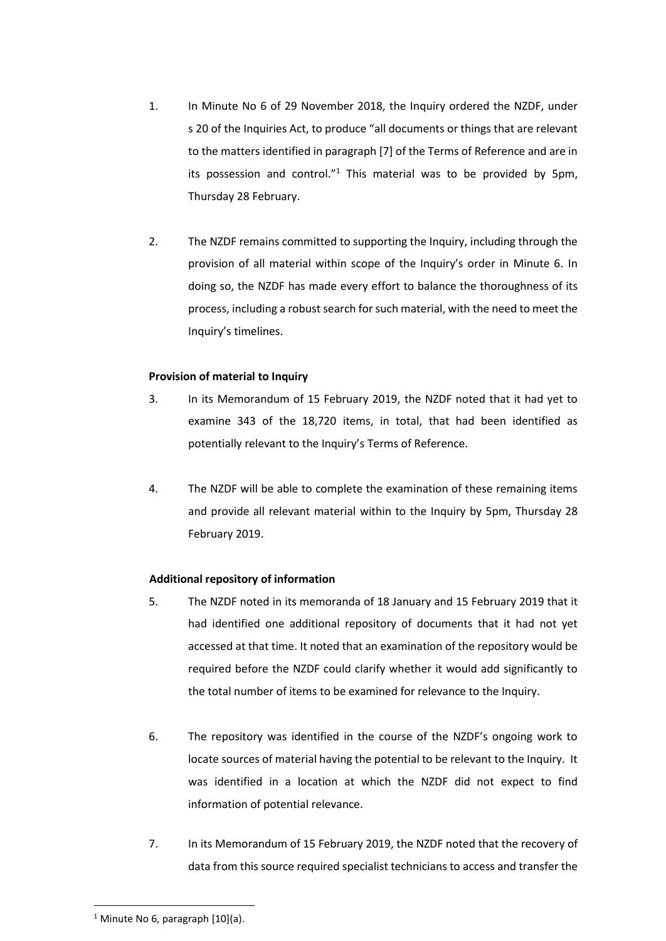- 1. In Minute No 6 of 29 November 2018, the Inquiry ordered the NZDF, under s 20 of the Inquiries Act, to produce "all documents or things that are relevant to the matters identified in paragraph [7] of the Terms of Reference and are in its possession and control." $1$  This material was to be provided by 5pm, Thursday 28 February.
- 2. The NZDF remains committed to supporting the Inquiry, including through the provision of all material within scope of the Inquiry's order in Minute 6. In doing so, the NZDF has made every effort to balance the thoroughness of its process, including a robust search for such material, with the need to meet the Inquiry's timelines.

## **Provision of material to Inquiry**

- 3. In its Memorandum of 15 February 2019, the NZDF noted that it had yet to examine 343 of the 18,720 items, in total, that had been identified as potentially relevant to the Inquiry's Terms of Reference.
- 4. The NZDF will be able to complete the examination of these remaining items and provide all relevant material within to the Inquiry by 5pm, Thursday 28 February 2019.

## **Additional repository of information**

- 5. The NZDF noted in its memoranda of 18 January and 15 February 2019 that it had identified one additional repository of documents that it had not yet accessed at that time. It noted that an examination of the repository would be required before the NZDF could clarify whether it would add significantly to the total number of items to be examined for relevance to the Inquiry.
- 6. The repository was identified in the course of the NZDF's ongoing work to locate sources of material having the potential to be relevant to the Inquiry. It was identified in a location at which the NZDF did not expect to find information of potential relevance.
- 7. In its Memorandum of 15 February 2019, the NZDF noted that the recovery of data from this source required specialist technicians to access and transfer the

**.** 

<sup>&</sup>lt;sup>1</sup> Minute No 6, paragraph  $[10](a)$ .